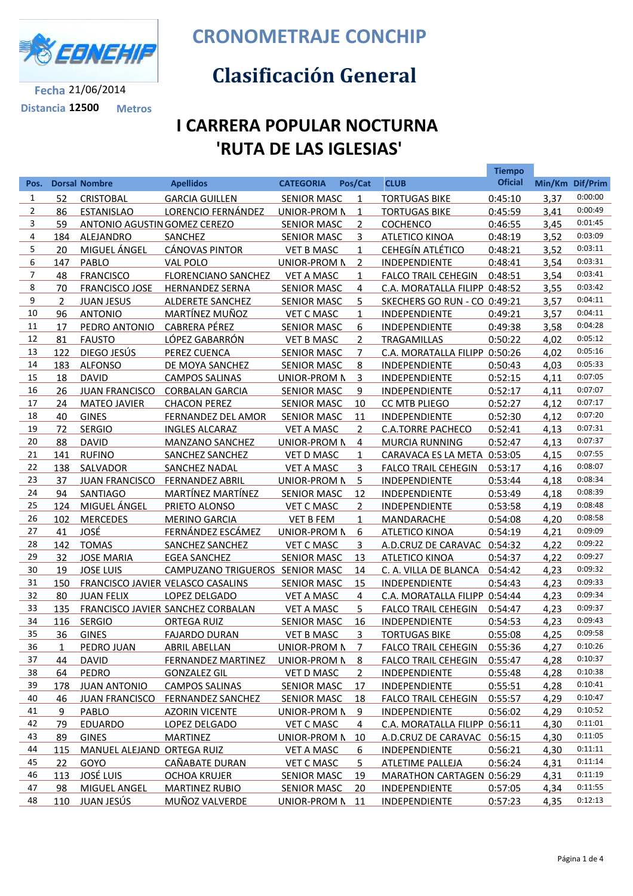

**Distancia 12500 Metros**

**CRONOMETRAJE CONCHIP**

## **Clasificación General**

## **I CARRERA POPULAR NOCTURNA 'RUTA DE LAS IGLESIAS'**

|                |                |                              |                                   |                     |                |                               | <b>Tiempo</b>  |      |                 |
|----------------|----------------|------------------------------|-----------------------------------|---------------------|----------------|-------------------------------|----------------|------|-----------------|
| Pos.           |                | <b>Dorsal Nombre</b>         | <b>Apellidos</b>                  | <b>CATEGORIA</b>    | Pos/Cat        | <b>CLUB</b>                   | <b>Oficial</b> |      | Min/Km Dif/Prim |
| $\mathbf{1}$   | 52             | <b>CRISTOBAL</b>             | <b>GARCIA GUILLEN</b>             | <b>SENIOR MASC</b>  | 1              | <b>TORTUGAS BIKE</b>          | 0:45:10        | 3,37 | 0:00:00         |
| $\overline{2}$ | 86             | <b>ESTANISLAO</b>            | LORENCIO FERNÁNDEZ                | UNIOR-PROM N        | $\mathbf{1}$   | <b>TORTUGAS BIKE</b>          | 0:45:59        | 3,41 | 0:00:49         |
| 3              | 59             | ANTONIO AGUSTIN GOMEZ CEREZO |                                   | <b>SENIOR MASC</b>  | $\overline{2}$ | <b>COCHENCO</b>               | 0:46:55        | 3,45 | 0:01:45         |
| 4              | 184            | ALEJANDRO                    | SANCHEZ                           | <b>SENIOR MASC</b>  | 3              | <b>ATLETICO KINOA</b>         | 0:48:19        | 3,52 | 0:03:09         |
| 5              | 20             | <b>MIGUEL ÁNGEL</b>          | <b>CÁNOVAS PINTOR</b>             | <b>VET B MASC</b>   | $\mathbf{1}$   | <b>CEHEGÍN ATLÉTICO</b>       | 0:48:21        | 3,52 | 0:03:11         |
| 6              | 147            | PABLO                        | VAL POLO                          | UNIOR-PROM N        | $\overline{2}$ | INDEPENDIENTE                 | 0:48:41        | 3,54 | 0:03:31         |
| 7              | 48             | <b>FRANCISCO</b>             | <b>FLORENCIANO SANCHEZ</b>        | <b>VET A MASC</b>   | $\mathbf{1}$   | <b>FALCO TRAIL CEHEGIN</b>    | 0:48:51        | 3,54 | 0:03:41         |
| 8              | 70             | <b>FRANCISCO JOSE</b>        | <b>HERNANDEZ SERNA</b>            | <b>SENIOR MASC</b>  | 4              | C.A. MORATALLA FILIPP 0:48:52 |                | 3,55 | 0:03:42         |
| 9              | $\overline{2}$ | <b>JUAN JESUS</b>            | <b>ALDERETE SANCHEZ</b>           | <b>SENIOR MASC</b>  | 5              | SKECHERS GO RUN - CO 0:49:21  |                | 3,57 | 0:04:11         |
| 10             | 96             | <b>ANTONIO</b>               | MARTÍNEZ MUÑOZ                    | <b>VET C MASC</b>   | $\mathbf{1}$   | INDEPENDIENTE                 | 0:49:21        | 3,57 | 0:04:11         |
| 11             | 17             | PEDRO ANTONIO                | <b>CABRERA PÉREZ</b>              | <b>SENIOR MASC</b>  | 6              | INDEPENDIENTE                 | 0:49:38        | 3,58 | 0:04:28         |
| 12             | 81             | <b>FAUSTO</b>                | LÓPEZ GABARRÓN                    | <b>VET B MASC</b>   | $\overline{2}$ | TRAGAMILLAS                   | 0:50:22        | 4,02 | 0:05:12         |
| 13             | 122            | DIEGO JESÚS                  | <b>PEREZ CUENCA</b>               | <b>SENIOR MASC</b>  | $\overline{7}$ | C.A. MORATALLA FILIPP 0:50:26 |                | 4,02 | 0:05:16         |
| 14             | 183            | <b>ALFONSO</b>               | DE MOYA SANCHEZ                   | <b>SENIOR MASC</b>  | 8              | INDEPENDIENTE                 | 0:50:43        | 4,03 | 0:05:33         |
| 15             | 18             | <b>DAVID</b>                 | <b>CAMPOS SALINAS</b>             | UNIOR-PROM N        | 3              | <b>INDEPENDIENTE</b>          | 0:52:15        | 4,11 | 0:07:05         |
| 16             | 26             | <b>JUAN FRANCISCO</b>        | <b>CORBALAN GARCIA</b>            | <b>SENIOR MASC</b>  | 9              | <b>INDEPENDIENTE</b>          | 0:52:17        | 4,11 | 0:07:07         |
| 17             | 24             | <b>MATEO JAVIER</b>          | <b>CHACON PEREZ</b>               | <b>SENIOR MASC</b>  | 10             | CC MTB PLIEGO                 | 0:52:27        | 4,12 | 0:07:17         |
| 18             | 40             | <b>GINES</b>                 | <b>FERNANDEZ DEL AMOR</b>         | <b>SENIOR MASC</b>  | 11             | <b>INDEPENDIENTE</b>          | 0:52:30        | 4,12 | 0:07:20         |
| 19             | 72             | <b>SERGIO</b>                | <b>INGLES ALCARAZ</b>             | <b>VET A MASC</b>   | $\overline{2}$ | <b>C.A.TORRE PACHECO</b>      | 0:52:41        | 4,13 | 0:07:31         |
| 20             | 88             | <b>DAVID</b>                 | <b>MANZANO SANCHEZ</b>            | UNIOR-PROM N        | 4              | <b>MURCIA RUNNING</b>         | 0:52:47        | 4,13 | 0:07:37         |
| 21             | 141            | <b>RUFINO</b>                | <b>SANCHEZ SANCHEZ</b>            | <b>VET D MASC</b>   | 1              | CARAVACA ES LA META 0:53:05   |                | 4,15 | 0:07:55         |
| 22             | 138            | SALVADOR                     | SANCHEZ NADAL                     | <b>VET A MASC</b>   | 3              | <b>FALCO TRAIL CEHEGIN</b>    | 0:53:17        | 4,16 | 0:08:07         |
| 23             | 37             | <b>JUAN FRANCISCO</b>        | <b>FERNANDEZ ABRIL</b>            | UNIOR-PROM N        | 5              | INDEPENDIENTE                 | 0:53:44        | 4,18 | 0:08:34         |
| 24             | 94             | <b>SANTIAGO</b>              | <b>MARTÍNEZ MARTÍNEZ</b>          | <b>SENIOR MASC</b>  | 12             | <b>INDEPENDIENTE</b>          | 0:53:49        | 4,18 | 0:08:39         |
| 25             | 124            | MIGUEL ÁNGEL                 | PRIETO ALONSO                     | <b>VET C MASC</b>   | $\overline{2}$ | <b>INDEPENDIENTE</b>          | 0:53:58        | 4,19 | 0:08:48         |
| 26             | 102            | <b>MERCEDES</b>              | <b>MERINO GARCIA</b>              | <b>VET B FEM</b>    | $\mathbf{1}$   | MANDARACHE                    | 0:54:08        | 4,20 | 0:08:58         |
| 27             | 41             | JOSÉ                         | FERNÁNDEZ ESCÁMEZ                 | UNIOR-PROM N        | 6              | <b>ATLETICO KINOA</b>         | 0:54:19        | 4,21 | 0:09:09         |
| 28             | 142            | <b>TOMAS</b>                 | SANCHEZ SANCHEZ                   | <b>VET C MASC</b>   | 3              | A.D.CRUZ DE CARAVAC 0:54:32   |                | 4,22 | 0:09:22         |
| 29             | 32             | <b>JOSE MARIA</b>            | <b>EGEA SANCHEZ</b>               | <b>SENIOR MASC</b>  | 13             | <b>ATLETICO KINOA</b>         | 0:54:37        | 4,22 | 0:09:27         |
| 30             | 19             | <b>JOSE LUIS</b>             | CAMPUZANO TRIGUEROS SENIOR MASC   |                     | 14             | C. A. VILLA DE BLANCA         | 0:54:42        | 4,23 | 0:09:32         |
| 31             | 150            |                              | FRANCISCO JAVIER VELASCO CASALINS | <b>SENIOR MASC</b>  | 15             | INDEPENDIENTE                 | 0:54:43        | 4,23 | 0:09:33         |
| 32             | 80             | <b>JUAN FELIX</b>            | LOPEZ DELGADO                     | <b>VET A MASC</b>   | 4              | C.A. MORATALLA FILIPP 0:54:44 |                | 4,23 | 0:09:34         |
| 33             | 135            |                              | FRANCISCO JAVIER SANCHEZ CORBALAN | <b>VET A MASC</b>   | 5              | <b>FALCO TRAIL CEHEGIN</b>    | 0:54:47        | 4,23 | 0:09:37         |
| 34             | 116            | <b>SERGIO</b>                | <b>ORTEGA RUIZ</b>                | <b>SENIOR MASC</b>  | 16             | INDEPENDIENTE                 | 0:54:53        | 4,23 | 0:09:43         |
| 35             | 36             | <b>GINES</b>                 | <b>FAJARDO DURAN</b>              | <b>VET B MASC</b>   | 3              | <b>TORTUGAS BIKE</b>          | 0:55:08        | 4,25 | 0:09:58         |
| 36             | 1              | PEDRO JUAN                   | <b>ABRIL ABELLAN</b>              | <b>UNIOR-PROM N</b> | 7              | <b>FALCO TRAIL CEHEGIN</b>    | 0:55:36        | 4,27 | 0:10:26         |
| 37             | 44             | <b>DAVID</b>                 | <b>FERNANDEZ MARTINEZ</b>         | <b>UNIOR-PROM N</b> | 8              | <b>FALCO TRAIL CEHEGIN</b>    | 0:55:47        | 4,28 | 0:10:37         |
| 38             | 64             | <b>PEDRO</b>                 | <b>GONZALEZ GIL</b>               | <b>VET D MASC</b>   | $\overline{2}$ | INDEPENDIENTE                 | 0:55:48        | 4,28 | 0:10:38         |
| 39             | 178            | <b>JUAN ANTONIO</b>          | <b>CAMPOS SALINAS</b>             | <b>SENIOR MASC</b>  | <u>17</u>      | <b>INDEPENDIENTE</b>          | 0:55:51        | 4,28 | 0:10:41         |
| 40             | 46             | <b>JUAN FRANCISCO</b>        | <b>FERNANDEZ SANCHEZ</b>          | <b>SENIOR MASC</b>  | 18             | <b>FALCO TRAIL CEHEGIN</b>    | 0:55:57        | 4,29 | 0:10:47         |
| 41             | 9              | PABLO                        | <b>AZORIN VICENTE</b>             | <b>UNIOR-PROM N</b> | 9              | <b>INDEPENDIENTE</b>          | 0:56:02        | 4,29 | 0:10:52         |
| 42             | 79             | <b>EDUARDO</b>               | LOPEZ DELGADO                     | <b>VET C MASC</b>   | $\overline{4}$ | C.A. MORATALLA FILIPP 0:56:11 |                | 4,30 | 0:11:01         |
| 43             | 89             | <b>GINES</b>                 | <b>MARTINEZ</b>                   | <b>UNIOR-PROM N</b> | <u>10</u>      | A.D.CRUZ DE CARAVAC 0:56:15   |                | 4,30 | 0:11:05         |
| 44             | 115            | MANUEL ALEJAND ORTEGA RUIZ   |                                   | <b>VET A MASC</b>   | 6              | <b>INDEPENDIENTE</b>          | 0:56:21        | 4,30 | 0:11:11         |
| 45             | 22             | GOYO                         | CAÑABATE DURAN                    | <b>VET C MASC</b>   | 5              | ATLETIME PALLEJA              | 0:56:24        | 4,31 | 0:11:14         |
| 46             | 113            | <b>JOSÉ LUIS</b>             | <b>OCHOA KRUJER</b>               | <b>SENIOR MASC</b>  | 19             | MARATHON CARTAGEN 0:56:29     |                | 4,31 | 0:11:19         |
| 47             | 98             | <b>MIGUEL ANGEL</b>          | <b>MARTINEZ RUBIO</b>             | <b>SENIOR MASC</b>  | 20             | <b>INDEPENDIENTE</b>          | 0:57:05        | 4,34 | 0:11:55         |
| 48             | 110            | <u>JUAN JESÚS</u>            | <b>MUÑOZ VALVERDE</b>             | <b>UNIOR-PROM N</b> | 11             | <b>INDEPENDIENTE</b>          | 0:57:23        | 4,35 | 0:12:13         |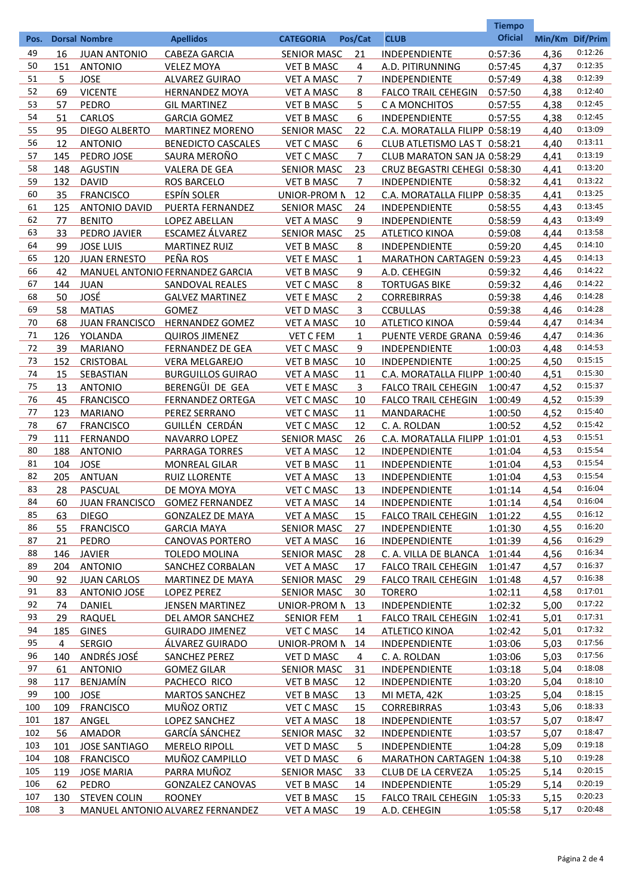|          |          |                                  |                                         |                                         |                |                                        | <b>Tiempo</b>      |              |                    |
|----------|----------|----------------------------------|-----------------------------------------|-----------------------------------------|----------------|----------------------------------------|--------------------|--------------|--------------------|
| Pos.     |          | <b>Dorsal Nombre</b>             | <b>Apellidos</b>                        | <b>CATEGORIA</b>                        | Pos/Cat        | <b>CLUB</b>                            | <b>Oficial</b>     |              | Min/Km Dif/Prim    |
| 49       | 16       | <b>JUAN ANTONIO</b>              | CABEZA GARCIA                           | <b>SENIOR MASC</b>                      | 21             | <b>INDEPENDIENTE</b>                   | 0:57:36            | 4,36         | 0:12:26            |
| 50       | 151      | <b>ANTONIO</b>                   | <b>VELEZ MOYA</b>                       | <b>VET B MASC</b>                       | 4              | A.D. PITIRUNNING                       | 0:57:45            | 4,37         | 0:12:35            |
| 51       | 5        | <b>JOSE</b>                      | <b>ALVAREZ GUIRAO</b>                   | <b>VET A MASC</b>                       | $\overline{7}$ | INDEPENDIENTE                          | 0:57:49            | 4,38         | 0:12:39            |
| 52       | 69       | <b>VICENTE</b>                   | <b>HERNANDEZ MOYA</b>                   | <b>VET A MASC</b>                       | 8              | <b>FALCO TRAIL CEHEGIN</b>             | 0:57:50            | 4,38         | 0:12:40            |
| 53       | 57       | PEDRO                            | <b>GIL MARTINEZ</b>                     | <b>VET B MASC</b>                       | 5              | C A MONCHITOS                          | 0:57:55            | 4,38         | 0:12:45            |
| 54       | 51       | <b>CARLOS</b>                    | <b>GARCIA GOMEZ</b>                     | <b>VET B MASC</b>                       | 6              | INDEPENDIENTE                          | 0:57:55            | 4,38         | 0:12:45            |
| 55       | 95       | DIEGO ALBERTO                    | <b>MARTINEZ MORENO</b>                  | <b>SENIOR MASC</b>                      | 22             | C.A. MORATALLA FILIPP 0:58:19          |                    | 4,40         | 0:13:09            |
| 56       | 12       | <b>ANTONIO</b>                   | <b>BENEDICTO CASCALES</b>               | <b>VET C MASC</b>                       | 6              | CLUB ATLETISMO LAS T 0:58:21           |                    | 4,40         | 0:13:11            |
| 57       | 145      | PEDRO JOSE                       | SAURA MEROÑO                            | <b>VET C MASC</b>                       | $\overline{7}$ | CLUB MARATON SAN JA 0:58:29            |                    | 4,41         | 0:13:19            |
| 58       | 148      | <b>AGUSTIN</b>                   | <b>VALERA DE GEA</b>                    | <b>SENIOR MASC</b>                      | 23             | CRUZ BEGASTRI CEHEGI 0:58:30           |                    | 4,41         | 0:13:20            |
| 59       | 132      | <b>DAVID</b>                     | <b>ROS BARCELO</b>                      | <b>VET B MASC</b>                       | $\overline{7}$ | INDEPENDIENTE                          | 0:58:32            | 4,41         | 0:13:22            |
| 60       | 35       | <b>FRANCISCO</b>                 | ESPÍN SOLER                             | UNIOR-PROM N                            | 12             | C.A. MORATALLA FILIPP 0:58:35          |                    | 4,41         | 0:13:25            |
| 61       | 125      | <b>ANTONIO DAVID</b>             | <b>PUERTA FERNANDEZ</b>                 | <b>SENIOR MASC</b>                      | 24             | INDEPENDIENTE                          | 0:58:55            | 4,43         | 0:13:45<br>0:13:49 |
| 62<br>63 | 77       | <b>BENITO</b>                    | LOPEZ ABELLAN                           | <b>VET A MASC</b>                       | 9              | INDEPENDIENTE                          | 0:58:59            | 4,43         | 0:13:58            |
| 64       | 33<br>99 | PEDRO JAVIER<br><b>JOSE LUIS</b> | ESCAMEZ ÁLVAREZ<br><b>MARTINEZ RUIZ</b> | <b>SENIOR MASC</b><br><b>VET B MASC</b> | 25<br>8        | <b>ATLETICO KINOA</b><br>INDEPENDIENTE | 0:59:08<br>0:59:20 | 4,44<br>4,45 | 0:14:10            |
| 65       | 120      | <b>JUAN ERNESTO</b>              | PEÑA ROS                                | <b>VET E MASC</b>                       | 1              | MARATHON CARTAGEN 0:59:23              |                    | 4,45         | 0:14:13            |
| 66       | 42       |                                  | MANUEL ANTONIO FERNANDEZ GARCIA         | <b>VET B MASC</b>                       | 9              | A.D. CEHEGIN                           | 0:59:32            | 4,46         | 0:14:22            |
| 67       | 144      | <b>JUAN</b>                      | SANDOVAL REALES                         | <b>VET C MASC</b>                       | 8              | <b>TORTUGAS BIKE</b>                   | 0:59:32            | 4,46         | 0:14:22            |
| 68       | 50       | JOSÉ                             | <b>GALVEZ MARTINEZ</b>                  | <b>VET E MASC</b>                       | $\overline{2}$ | <b>CORREBIRRAS</b>                     | 0:59:38            | 4,46         | 0:14:28            |
| 69       | 58       | <b>MATIAS</b>                    | GOMEZ                                   | <b>VET D MASC</b>                       | 3              | <b>CCBULLAS</b>                        | 0:59:38            | 4,46         | 0:14:28            |
| 70       | 68       | <b>JUAN FRANCISCO</b>            | <b>HERNANDEZ GOMEZ</b>                  | <b>VET A MASC</b>                       | 10             | <b>ATLETICO KINOA</b>                  | 0:59:44            | 4,47         | 0:14:34            |
| 71       | 126      | YOLANDA                          | <b>QUIROS JIMENEZ</b>                   | <b>VET C FEM</b>                        | $\mathbf{1}$   | PUENTE VERDE GRANA 0:59:46             |                    | 4,47         | 0:14:36            |
| 72       | 39       | <b>MARIANO</b>                   | <b>FERNANDEZ DE GEA</b>                 | <b>VET C MASC</b>                       | 9              | INDEPENDIENTE                          | 1:00:03            | 4,48         | 0:14:53            |
| 73       | 152      | <b>CRISTOBAL</b>                 | <b>VERA MELGAREJO</b>                   | <b>VET B MASC</b>                       | 10             | INDEPENDIENTE                          | 1:00:25            | 4,50         | 0:15:15            |
| 74       | 15       | SEBASTIAN                        | <b>BURGUILLOS GUIRAO</b>                | <b>VET A MASC</b>                       | 11             | C.A. MORATALLA FILIPP 1:00:40          |                    | 4,51         | 0:15:30            |
| 75       | 13       | <b>ANTONIO</b>                   | BERENGÜI DE GEA                         | <b>VET E MASC</b>                       | 3              | <b>FALCO TRAIL CEHEGIN</b>             | 1:00:47            | 4,52         | 0:15:37            |
| 76       | 45       | <b>FRANCISCO</b>                 | <b>FERNANDEZ ORTEGA</b>                 | <b>VET C MASC</b>                       | 10             | <b>FALCO TRAIL CEHEGIN</b>             | 1:00:49            | 4,52         | 0:15:39            |
| 77       | 123      | <b>MARIANO</b>                   | PEREZ SERRANO                           | <b>VET C MASC</b>                       | 11             | MANDARACHE                             | 1:00:50            | 4,52         | 0:15:40            |
| 78       | 67       | <b>FRANCISCO</b>                 | GUILLÉN CERDÁN                          | <b>VET C MASC</b>                       | 12             | C. A. ROLDAN                           | 1:00:52            | 4,52         | 0:15:42            |
| 79       | 111      | <b>FERNANDO</b>                  | NAVARRO LOPEZ                           | <b>SENIOR MASC</b>                      | 26             | C.A. MORATALLA FILIPP 1:01:01          |                    | 4,53         | 0:15:51            |
| 80       | 188      | <b>ANTONIO</b>                   | <b>PARRAGA TORRES</b>                   | <b>VET A MASC</b>                       | 12             | <b>INDEPENDIENTE</b>                   | 1:01:04            | 4,53         | 0:15:54            |
| 81       | 104      | <b>JOSE</b>                      | <b>MONREAL GILAR</b>                    | <b>VET B MASC</b>                       | 11             | <b>INDEPENDIENTE</b>                   | 1:01:04            | 4,53         | 0:15:54            |
| 82       | 205      | <b>ANTUAN</b>                    | <b>RUIZ LLORENTE</b>                    | <b>VET A MASC</b>                       | 13             | <b>INDEPENDIENTE</b>                   | 1:01:04            | 4,53         | 0:15:54            |
| 83       | 28       | PASCUAL                          | DE MOYA MOYA                            | <b>VET C MASC</b>                       | <u>13</u>      | <b>INDEPENDIENTE</b>                   | 1:01:14            | 4,54         | 0:16:04            |
| 84       | 60       |                                  | JUAN FRANCISCO GOMEZ FERNANDEZ          | <b>VET A MASC</b>                       | 14             | <b>INDEPENDIENTE</b>                   | 1:01:14            | 4,54         | 0:16:04            |
| 85       | 63       | <b>DIEGO</b>                     | <b>GONZALEZ DE MAYA</b>                 | <b>VET A MASC</b>                       | 15             | <b>FALCO TRAIL CEHEGIN</b>             | 1:01:22            | 4,55         | 0:16:12            |
| 86       | 55       | <b>FRANCISCO</b>                 | <b>GARCIA MAYA</b>                      | <b>SENIOR MASC</b>                      | 27             | <b>INDEPENDIENTE</b>                   | 1:01:30            | 4,55         | 0:16:20            |
| 87       | 21       | PEDRO                            | <b>CANOVAS PORTERO</b>                  | <b>VET A MASC</b>                       | <u>16</u>      | <b>INDEPENDIENTE</b>                   | 1:01:39            | 4,56         | 0:16:29            |
| 88       | 146      | <b>JAVIER</b>                    | <b>TOLEDO MOLINA</b>                    | <b>SENIOR MASC</b>                      | 28             | C. A. VILLA DE BLANCA                  | 1:01:44            | 4,56         | 0:16:34            |
| 89       | 204      | <b>ANTONIO</b>                   | SANCHEZ CORBALAN                        | <b>VET A MASC</b>                       | 17             | <b>FALCO TRAIL CEHEGIN</b>             | 1:01:47            | 4,57         | 0:16:37            |
| 90       | 92       | <b>JUAN CARLOS</b>               | <b>MARTINEZ DE MAYA</b>                 | <b>SENIOR MASC</b>                      | 29             | <b>FALCO TRAIL CEHEGIN</b>             | 1:01:48            | 4,57         | 0:16:38            |
| 91       | 83       | <b>ANTONIO JOSE</b>              | <b>LOPEZ PEREZ</b>                      | <b>SENIOR MASC</b>                      | 30             | <b>TORERO</b>                          | 1:02:11            | 4,58         | 0:17:01            |
| 92       | 74       | DANIEL                           | <b>JENSEN MARTINEZ</b>                  | UNIOR-PROM N                            | 13             | <b>INDEPENDIENTE</b>                   | 1:02:32            | 5,00         | 0:17:22            |
| 93       | 29       | <b>RAQUEL</b>                    | DEL AMOR SANCHEZ                        | <b>SENIOR FEM</b>                       | 1              | <b>FALCO TRAIL CEHEGIN</b>             | 1:02:41            | 5,01         | 0:17:31            |
| 94       | 185      | <b>GINES</b>                     | <b>GUIRADO JIMENEZ</b>                  | <b>VET C MASC</b>                       | 14             | <b>ATLETICO KINOA</b>                  | 1:02:42            | 5,01         | 0:17:32            |
| 95       | 4        | <b>SERGIO</b>                    | ÁLVAREZ GUIRADO                         | UNIOR-PROM N                            | 14             | <b>INDEPENDIENTE</b>                   | 1:03:06            | 5,03         | 0:17:56            |
| 96       | 140      | <b>ANDRÉS JOSÉ</b>               | <b>SANCHEZ PEREZ</b>                    | <b>VET D MASC</b>                       | 4              | C. A. ROLDAN                           | 1:03:06            | 5,03         | 0:17:56            |
| 97       | 61       | <b>ANTONIO</b>                   | <b>GOMEZ GILAR</b>                      | <b>SENIOR MASC</b>                      | 31             | <b>INDEPENDIENTE</b>                   | 1:03:18            | 5,04         | 0:18:08            |
| 98       | 117      | <b>BENJAMÍN</b>                  | PACHECO RICO                            | <b>VET B MASC</b>                       | 12             | <b>INDEPENDIENTE</b>                   | 1:03:20            | 5,04         | 0:18:10            |
| 99       | 100      | <b>JOSE</b>                      | <b>MARTOS SANCHEZ</b>                   | <b>VET B MASC</b>                       | <u>13</u>      | MI META, 42K                           | 1:03:25            | 5,04         | 0:18:15            |
| 100      | 109      | <b>FRANCISCO</b>                 | MUÑOZ ORTIZ                             | <b>VET C MASC</b>                       | 15             | <b>CORREBIRRAS</b>                     | 1:03:43            | 5,06         | 0:18:33            |
| 101      | 187      | ANGEL                            | LOPEZ SANCHEZ                           | <b>VET A MASC</b>                       | <b>18</b>      | <b>INDEPENDIENTE</b>                   | 1:03:57            | 5,07         | 0:18:47            |
| 102      | 56       | <b>AMADOR</b>                    | <b>GARCÍA SÁNCHEZ</b>                   | <b>SENIOR MASC</b>                      | 32             | <b>INDEPENDIENTE</b>                   | 1:03:57            | 5,07         | 0:18:47            |
| 103      | 101      | <b>JOSE SANTIAGO</b>             | <b>MERELO RIPOLL</b>                    | <b>VET D MASC</b>                       | 5              | <b>INDEPENDIENTE</b>                   | 1:04:28            | 5,09         | 0:19:18            |
| 104      | 108      | <b>FRANCISCO</b>                 | MUÑOZ CAMPILLO                          | <b>VET D MASC</b>                       | 6              | <b>MARATHON CARTAGEN 1:04:38</b>       |                    | 5,10         | 0:19:28            |
| 105      | 119      | <b>JOSE MARIA</b>                | PARRA MUÑOZ                             | <b>SENIOR MASC</b>                      | 33             | <b>CLUB DE LA CERVEZA</b>              | 1:05:25            | 5,14         | 0:20:15            |
| 106      | 62       | <b>PEDRO</b>                     | <b>GONZALEZ CANOVAS</b>                 | <b>VET B MASC</b>                       | 14             | <b>INDEPENDIENTE</b>                   | 1:05:29            | 5,14         | 0:20:19            |
| 107      | 130      | <b>STEVEN COLIN</b>              | <b>ROONEY</b>                           | <b>VET B MASC</b>                       | 15             | <b>FALCO TRAIL CEHEGIN</b>             | 1:05:33            | 5,15         | 0:20:23            |
| 108      | 3        |                                  | MANUEL ANTONIO ALVAREZ FERNANDEZ        | <b>VET A MASC</b>                       | 19             | A.D. CEHEGIN                           | 1:05:58            | 5,17         | 0:20:48            |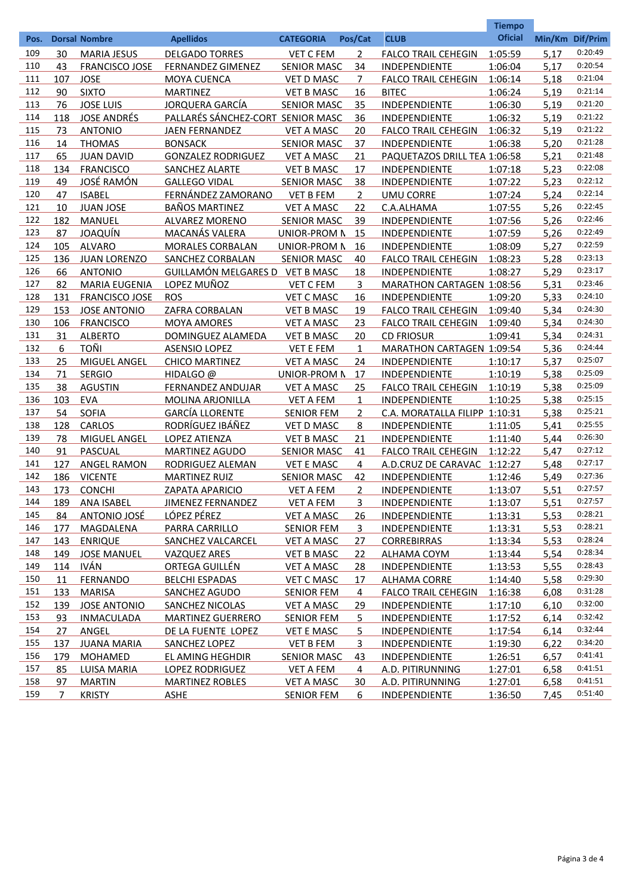|      |                |                       |                                   | <b>Tiempo</b>      |                |                                  |                |                 |         |
|------|----------------|-----------------------|-----------------------------------|--------------------|----------------|----------------------------------|----------------|-----------------|---------|
| Pos. |                | <b>Dorsal Nombre</b>  | <b>Apellidos</b>                  | <b>CATEGORIA</b>   | Pos/Cat        | <b>CLUB</b>                      | <b>Oficial</b> | Min/Km Dif/Prim |         |
| 109  | 30             | <b>MARIA JESUS</b>    | <b>DELGADO TORRES</b>             | <b>VET C FEM</b>   | 2              | <b>FALCO TRAIL CEHEGIN</b>       | 1:05:59        | 5.17            | 0:20:49 |
| 110  | 43             | <b>FRANCISCO JOSE</b> | <b>FERNANDEZ GIMENEZ</b>          | <b>SENIOR MASC</b> | 34             | INDEPENDIENTE                    | 1:06:04        | 5,17            | 0:20:54 |
| 111  | 107            | <b>JOSE</b>           | <b>MOYA CUENCA</b>                | <b>VET D MASC</b>  | 7              | <b>FALCO TRAIL CEHEGIN</b>       | 1:06:14        | 5,18            | 0:21:04 |
| 112  | 90             | <b>SIXTO</b>          | <b>MARTINEZ</b>                   | <b>VET B MASC</b>  | 16             | <b>BITEC</b>                     | 1:06:24        | 5,19            | 0:21:14 |
| 113  | 76             | <b>JOSE LUIS</b>      | JORQUERA GARCÍA                   | <b>SENIOR MASC</b> | 35             | INDEPENDIENTE                    | 1:06:30        | 5,19            | 0:21:20 |
| 114  | 118            | <b>JOSE ANDRÉS</b>    | PALLARÉS SÁNCHEZ-CORT SENIOR MASC |                    | 36             | INDEPENDIENTE                    | 1:06:32        | 5,19            | 0:21:22 |
| 115  | 73             | <b>ANTONIO</b>        | <b>JAEN FERNANDEZ</b>             | <b>VET A MASC</b>  | 20             | <b>FALCO TRAIL CEHEGIN</b>       | 1:06:32        | 5,19            | 0:21:22 |
| 116  | 14             | <b>THOMAS</b>         | <b>BONSACK</b>                    | <b>SENIOR MASC</b> | 37             | INDEPENDIENTE                    | 1:06:38        | 5,20            | 0:21:28 |
| 117  | 65             | <b>JUAN DAVID</b>     | <b>GONZALEZ RODRIGUEZ</b>         | <b>VET A MASC</b>  | 21             | PAQUETAZOS DRILL TEA 1:06:58     |                | 5,21            | 0:21:48 |
| 118  | 134            | <b>FRANCISCO</b>      | SANCHEZ ALARTE                    | <b>VET B MASC</b>  | 17             | <b>INDEPENDIENTE</b>             | 1:07:18        | 5,23            | 0:22:08 |
| 119  | 49             | <u>JOSÉ RAMÓN</u>     | <b>GALLEGO VIDAL</b>              | <b>SENIOR MASC</b> | 38             | INDEPENDIENTE                    | 1:07:22        | 5,23            | 0:22:12 |
| 120  | 47             | <b>ISABEL</b>         | FERNÁNDEZ ZAMORANO                | <b>VET B FEM</b>   | $\overline{2}$ | <b>UMU CORRE</b>                 | 1:07:24        | 5,24            | 0:22:14 |
| 121  | 10             |                       |                                   |                    |                |                                  |                |                 | 0:22:45 |
|      |                | <b>JUAN JOSE</b>      | <b>BAÑOS MARTINEZ</b>             | <b>VET A MASC</b>  | 22             | C.A.ALHAMA                       | 1:07:55        | 5,26            | 0:22:46 |
| 122  | 182            | <b>MANUEL</b>         | <b>ALVAREZ MORENO</b>             | <b>SENIOR MASC</b> | 39             | INDEPENDIENTE                    | 1:07:56        | 5,26            | 0:22:49 |
| 123  | 87             | JOAQUÍN               | MACANÁS VALERA                    | UNIOR-PROM N       | 15             | INDEPENDIENTE                    | 1:07:59        | 5,26            |         |
| 124  | 105            | <b>ALVARO</b>         | <b>MORALES CORBALAN</b>           | UNIOR-PROM N       | 16             | INDEPENDIENTE                    | 1:08:09        | 5,27            | 0:22:59 |
| 125  | 136            | <b>JUAN LORENZO</b>   | SANCHEZ CORBALAN                  | <b>SENIOR MASC</b> | 40             | <b>FALCO TRAIL CEHEGIN</b>       | 1:08:23        | 5,28            | 0:23:13 |
| 126  | 66             | <b>ANTONIO</b>        | GUILLAMÓN MELGARES D VET B MASC   |                    | 18             | <b>INDEPENDIENTE</b>             | 1:08:27        | 5,29            | 0:23:17 |
| 127  | 82             | <b>MARIA EUGENIA</b>  | LOPEZ MUÑOZ                       | <b>VET C FEM</b>   | 3              | <b>MARATHON CARTAGEN 1:08:56</b> |                | 5,31            | 0:23:46 |
| 128  | 131            | <b>FRANCISCO JOSE</b> | <b>ROS</b>                        | <b>VET C MASC</b>  | 16             | INDEPENDIENTE                    | 1:09:20        | 5,33            | 0:24:10 |
| 129  | 153            | <b>JOSE ANTONIO</b>   | ZAFRA CORBALAN                    | <b>VET B MASC</b>  | 19             | <b>FALCO TRAIL CEHEGIN</b>       | 1:09:40        | 5,34            | 0:24:30 |
| 130  | 106            | <b>FRANCISCO</b>      | <b>MOYA AMORES</b>                | <b>VET A MASC</b>  | 23             | <b>FALCO TRAIL CEHEGIN</b>       | 1:09:40        | 5,34            | 0:24:30 |
| 131  | 31             | <b>ALBERTO</b>        | DOMINGUEZ ALAMEDA                 | <b>VET B MASC</b>  | 20             | <b>CD FRIOSUR</b>                | 1:09:41        | 5,34            | 0:24:31 |
| 132  | 6              | <b>TOÑI</b>           | <b>ASENSIO LOPEZ</b>              | <b>VET E FEM</b>   | $\mathbf{1}$   | MARATHON CARTAGEN 1:09:54        |                | 5,36            | 0:24:44 |
| 133  | 25             | MIGUEL ANGEL          | <b>CHICO MARTINEZ</b>             | <b>VET A MASC</b>  | 24             | INDEPENDIENTE                    | 1:10:17        | 5,37            | 0:25:07 |
| 134  | 71             | <b>SERGIO</b>         | HIDALGO @                         | UNIOR-PROM N       | 17             | INDEPENDIENTE                    | 1:10:19        | 5,38            | 0:25:09 |
| 135  | 38             | <b>AGUSTIN</b>        | <b>FERNANDEZ ANDUJAR</b>          | <b>VET A MASC</b>  | 25             | <b>FALCO TRAIL CEHEGIN</b>       | 1:10:19        | 5,38            | 0:25:09 |
| 136  | 103            | <b>EVA</b>            | MOLINA ARJONILLA                  | <b>VET A FEM</b>   | $\mathbf{1}$   | INDEPENDIENTE                    | 1:10:25        | 5,38            | 0:25:15 |
| 137  | 54             | <b>SOFIA</b>          | <b>GARCÍA LLORENTE</b>            | <b>SENIOR FEM</b>  | $\overline{2}$ | C.A. MORATALLA FILIPP 1:10:31    |                | 5,38            | 0:25:21 |
| 138  | 128            | CARLOS                | RODRÍGUEZ IBÁÑEZ                  | <b>VET D MASC</b>  | 8              | INDEPENDIENTE                    | 1:11:05        | 5,41            | 0:25:55 |
| 139  | 78             | MIGUEL ANGEL          | <b>LOPEZ ATIENZA</b>              | <b>VET B MASC</b>  | 21             | <b>INDEPENDIENTE</b>             | 1:11:40        | 5,44            | 0:26:30 |
| 140  | 91             | PASCUAL               | <b>MARTINEZ AGUDO</b>             | <b>SENIOR MASC</b> | 41             | <b>FALCO TRAIL CEHEGIN</b>       | 1:12:22        | 5,47            | 0:27:12 |
| 141  | 127            | <b>ANGEL RAMON</b>    | RODRIGUEZ ALEMAN                  | <b>VET E MASC</b>  | 4              | A.D.CRUZ DE CARAVAC 1:12:27      |                | 5,48            | 0:27:17 |
| 142  | 186            | <b>VICENTE</b>        | <b>MARTINEZ RUIZ</b>              | <b>SENIOR MASC</b> | 42             | <b>INDEPENDIENTE</b>             | 1:12:46        | 5,49            | 0:27:36 |
| 143  | 173            | <b>CONCHI</b>         | <b>ZAPATA APARICIO</b>            | <b>VET A FEM</b>   | $\overline{2}$ | INDEPENDIENTE                    | 1:13:07        | 5,51            | 0:27:57 |
| 144  | <u>189</u>     | <b>ANA ISABEL</b>     | <b>JIMENEZ FERNANDEZ</b>          | <b>VET A FEM</b>   | <u>3</u>       | <b>INDEPENDIENTE</b>             | 1:13:07        | 5,51            | 0:27:57 |
| 145  | 84             | <b>ANTONIO JOSÉ</b>   | LÓPEZ PÉREZ                       | <b>VET A MASC</b>  | <u>26</u>      | <b>INDEPENDIENTE</b>             | 1:13:31        | 5,53            | 0:28:21 |
| 146  | 177            | <b>MAGDALENA</b>      | PARRA CARRILLO                    | <b>SENIOR FEM</b>  | $\overline{3}$ | <b>INDEPENDIENTE</b>             | 1:13:31        | 5,53            | 0:28:21 |
| 147  | 143            | <b>ENRIQUE</b>        | <b>SANCHEZ VALCARCEL</b>          | <b>VET A MASC</b>  | <u>27</u>      | <b>CORREBIRRAS</b>               | 1:13:34        | 5,53            | 0:28:24 |
| 148  | 149            | <b>JOSE MANUEL</b>    | VAZQUEZ ARES                      | <b>VET B MASC</b>  | <u> 22 </u>    | <b>ALHAMA COYM</b>               | 1:13:44        | 5,54            | 0:28:34 |
| 149  | 114            | <u>IVÁN</u>           | <u>ORTEGA GUILLÉN</u>             | <b>VET A MASC</b>  | 28             | <b>INDEPENDIENTE</b>             | 1:13:53        | 5,55            | 0:28:43 |
| 150  | 11             | <b>FERNANDO</b>       | <b>BELCHI ESPADAS</b>             | <b>VET C MASC</b>  | 17             | <b>ALHAMA CORRE</b>              | 1:14:40        | 5,58            | 0:29:30 |
| 151  | 133            | <b>MARISA</b>         | SANCHEZ AGUDO                     | <b>SENIOR FEM</b>  | 4              | <b>FALCO TRAIL CEHEGIN</b>       | 1:16:38        | 6,08            | 0:31:28 |
| 152  | 139            | <b>JOSE ANTONIO</b>   | <b>SANCHEZ NICOLAS</b>            | <b>VET A MASC</b>  | <u>29</u>      | <b>INDEPENDIENTE</b>             | 1:17:10        | 6,10            | 0:32:00 |
| 153  | 93             | <b>INMACULADA</b>     | <b>MARTINEZ GUERRERO</b>          | <b>SENIOR FEM</b>  | <u>5</u>       | <b>INDEPENDIENTE</b>             | 1:17:52        | 6,14            | 0:32:42 |
| 154  | 27             | ANGEL                 | DE LA FUENTE LOPEZ                | <b>VET E MASC</b>  | <u>5</u>       | <b>INDEPENDIENTE</b>             | 1:17:54        | 6,14            | 0:32:44 |
| 155  | 137            | <b>JUANA MARIA</b>    | <b>SANCHEZ LOPEZ</b>              | <b>VET B FEM</b>   | $\overline{3}$ | <b>INDEPENDIENTE</b>             | 1:19:30        | 6,22            | 0:34:20 |
| 156  | 179            | <b>MOHAMED</b>        | <b>EL AMING HEGHDIR</b>           | <b>SENIOR MASC</b> | 43             | <b>INDEPENDIENTE</b>             | 1:26:51        | 6,57            | 0:41:41 |
| 157  | 85             | <b>LUISA MARIA</b>    | <b>LOPEZ RODRIGUEZ</b>            | <b>VET A FEM</b>   | 4              | A.D. PITIRUNNING                 | 1:27:01        | 6,58            | 0:41:51 |
| 158  | 97             | <b>MARTIN</b>         | <b>MARTINEZ ROBLES</b>            | <b>VET A MASC</b>  | 30             | A.D. PITIRUNNING                 | 1:27:01        | 6,58            | 0:41:51 |
| 159  | $\overline{7}$ | <b>KRISTY</b>         | <b>ASHE</b>                       | <b>SENIOR FEM</b>  | 6              | <b>INDEPENDIENTE</b>             | 1:36:50        | 7,45            | 0:51:40 |
|      |                |                       |                                   |                    |                |                                  |                |                 |         |